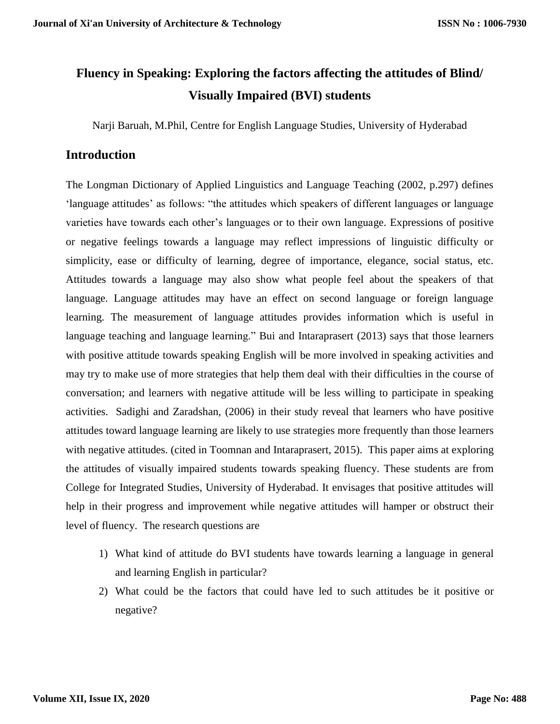# **Fluency in Speaking: Exploring the factors affecting the attitudes of Blind/ Visually Impaired (BVI) students**

Narji Baruah, M.Phil, Centre for English Language Studies, University of Hyderabad

# **Introduction**

The Longman Dictionary of Applied Linguistics and Language Teaching (2002, p.297) defines 'language attitudes' as follows: "the attitudes which speakers of different languages or language varieties have towards each other's languages or to their own language. Expressions of positive or negative feelings towards a language may reflect impressions of linguistic difficulty or simplicity, ease or difficulty of learning, degree of importance, elegance, social status, etc. Attitudes towards a language may also show what people feel about the speakers of that language. Language attitudes may have an effect on second language or foreign language learning. The measurement of language attitudes provides information which is useful in language teaching and language learning." Bui and Intaraprasert (2013) says that those learners with positive attitude towards speaking English will be more involved in speaking activities and may try to make use of more strategies that help them deal with their difficulties in the course of conversation; and learners with negative attitude will be less willing to participate in speaking activities. Sadighi and Zaradshan, (2006) in their study reveal that learners who have positive attitudes toward language learning are likely to use strategies more frequently than those learners with negative attitudes. (cited in Toomnan and Intaraprasert, 2015). This paper aims at exploring the attitudes of visually impaired students towards speaking fluency. These students are from College for Integrated Studies, University of Hyderabad. It envisages that positive attitudes will help in their progress and improvement while negative attitudes will hamper or obstruct their level of fluency. The research questions are

- 1) What kind of attitude do BVI students have towards learning a language in general and learning English in particular?
- 2) What could be the factors that could have led to such attitudes be it positive or negative?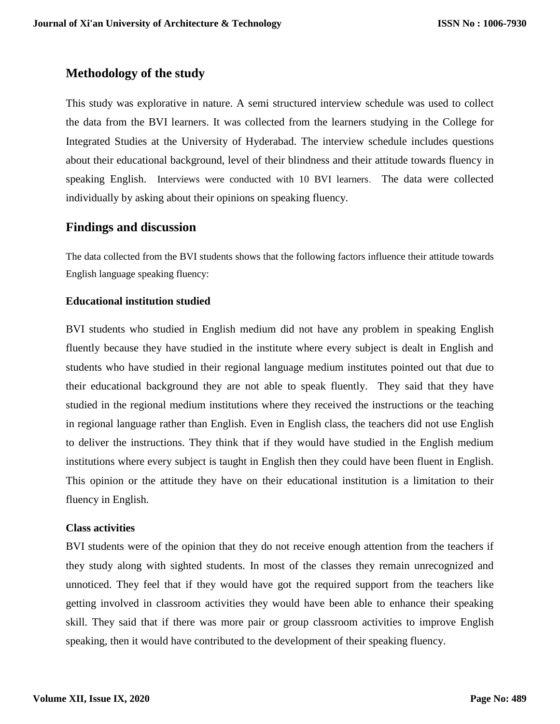# **Methodology of the study**

This study was explorative in nature. A semi structured interview schedule was used to collect the data from the BVI learners. It was collected from the learners studying in the College for Integrated Studies at the University of Hyderabad. The interview schedule includes questions about their educational background, level of their blindness and their attitude towards fluency in speaking English. Interviews were conducted with 10 BVI learners. The data were collected individually by asking about their opinions on speaking fluency.

## **Findings and discussion**

The data collected from the BVI students shows that the following factors influence their attitude towards English language speaking fluency:

#### **Educational institution studied**

BVI students who studied in English medium did not have any problem in speaking English fluently because they have studied in the institute where every subject is dealt in English and students who have studied in their regional language medium institutes pointed out that due to their educational background they are not able to speak fluently. They said that they have studied in the regional medium institutions where they received the instructions or the teaching in regional language rather than English. Even in English class, the teachers did not use English to deliver the instructions. They think that if they would have studied in the English medium institutions where every subject is taught in English then they could have been fluent in English. This opinion or the attitude they have on their educational institution is a limitation to their fluency in English.

#### **Class activities**

BVI students were of the opinion that they do not receive enough attention from the teachers if they study along with sighted students. In most of the classes they remain unrecognized and unnoticed. They feel that if they would have got the required support from the teachers like getting involved in classroom activities they would have been able to enhance their speaking skill. They said that if there was more pair or group classroom activities to improve English speaking, then it would have contributed to the development of their speaking fluency.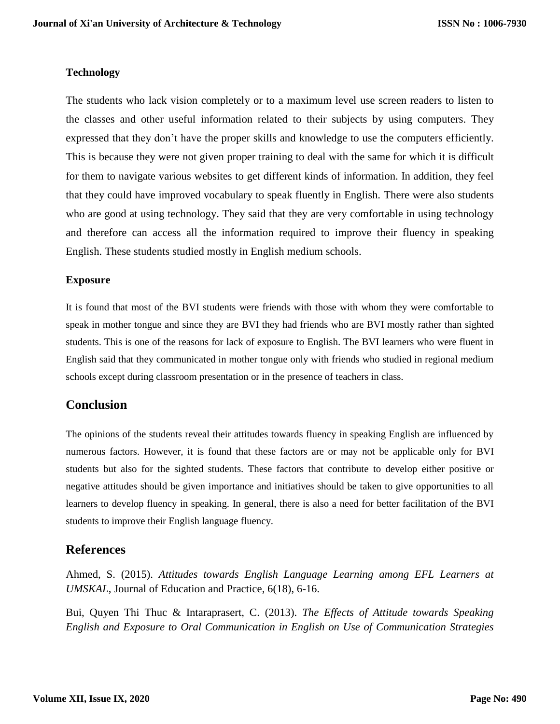#### **Technology**

The students who lack vision completely or to a maximum level use screen readers to listen to the classes and other useful information related to their subjects by using computers. They expressed that they don't have the proper skills and knowledge to use the computers efficiently. This is because they were not given proper training to deal with the same for which it is difficult for them to navigate various websites to get different kinds of information. In addition, they feel that they could have improved vocabulary to speak fluently in English. There were also students who are good at using technology. They said that they are very comfortable in using technology and therefore can access all the information required to improve their fluency in speaking English. These students studied mostly in English medium schools.

#### **Exposure**

It is found that most of the BVI students were friends with those with whom they were comfortable to speak in mother tongue and since they are BVI they had friends who are BVI mostly rather than sighted students. This is one of the reasons for lack of exposure to English. The BVI learners who were fluent in English said that they communicated in mother tongue only with friends who studied in regional medium schools except during classroom presentation or in the presence of teachers in class.

## **Conclusion**

The opinions of the students reveal their attitudes towards fluency in speaking English are influenced by numerous factors. However, it is found that these factors are or may not be applicable only for BVI students but also for the sighted students. These factors that contribute to develop either positive or negative attitudes should be given importance and initiatives should be taken to give opportunities to all learners to develop fluency in speaking. In general, there is also a need for better facilitation of the BVI students to improve their English language fluency.

## **References**

Ahmed, S. (2015). *Attitudes towards English Language Learning among EFL Learners at UMSKAL*, Journal of Education and Practice, 6(18), 6-16.

Bui, Quyen Thi Thuc & Intaraprasert, C. (2013). *The Effects of Attitude towards Speaking English and Exposure to Oral Communication in English on Use of Communication Strategies*